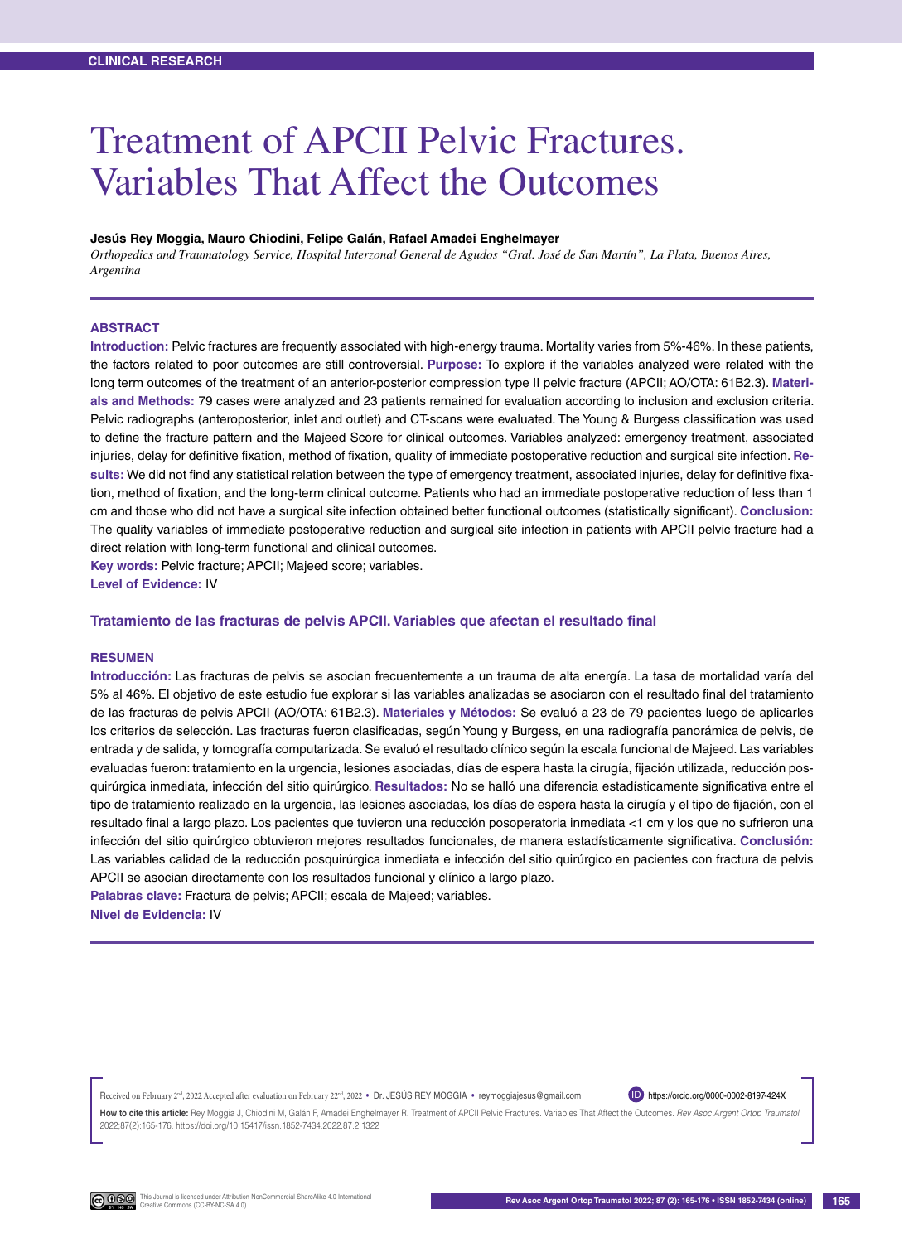# Treatment of APCII Pelvic Fractures. Variables That Affect the Outcomes

#### **Jesús Rey Moggia, Mauro Chiodini, Felipe Galán, Rafael Amadei Enghelmayer**

*Orthopedics and Traumatology Service, Hospital Interzonal General de Agudos "Gral. José de San Martín", La Plata, Buenos Aires, Argentina*

#### **ABSTRACT**

**Introduction:** Pelvic fractures are frequently associated with high-energy trauma. Mortality varies from 5%-46%. In these patients, the factors related to poor outcomes are still controversial. **Purpose:** To explore if the variables analyzed were related with the long term outcomes of the treatment of an anterior-posterior compression type II pelvic fracture (APCII; AO/OTA: 61B2.3). **Materials and Methods:** 79 cases were analyzed and 23 patients remained for evaluation according to inclusion and exclusion criteria. Pelvic radiographs (anteroposterior, inlet and outlet) and CT-scans were evaluated. The Young & Burgess classification was used to define the fracture pattern and the Majeed Score for clinical outcomes. Variables analyzed: emergency treatment, associated injuries, delay for definitive fixation, method of fixation, quality of immediate postoperative reduction and surgical site infection. **Results:** We did not find any statistical relation between the type of emergency treatment, associated injuries, delay for definitive fixation, method of fixation, and the long-term clinical outcome. Patients who had an immediate postoperative reduction of less than 1 cm and those who did not have a surgical site infection obtained better functional outcomes (statistically significant). **Conclusion:** The quality variables of immediate postoperative reduction and surgical site infection in patients with APCII pelvic fracture had a direct relation with long-term functional and clinical outcomes.

**Key words:** Pelvic fracture; APCII; Majeed score; variables. **Level of Evidence:** IV

#### **Tratamiento de las fracturas de pelvis APCII. Variables que afectan el resultado final**

#### **Resumen**

**Introducción:** Las fracturas de pelvis se asocian frecuentemente a un trauma de alta energía. La tasa de mortalidad varía del 5% al 46%. El objetivo de este estudio fue explorar si las variables analizadas se asociaron con el resultado final del tratamiento de las fracturas de pelvis APCII (AO/OTA: 61B2.3). **Materiales y Métodos:** Se evaluó a 23 de 79 pacientes luego de aplicarles los criterios de selección. Las fracturas fueron clasificadas, según Young y Burgess, en una radiografía panorámica de pelvis, de entrada y de salida, y tomografía computarizada. Se evaluó el resultado clínico según la escala funcional de Majeed. Las variables evaluadas fueron: tratamiento en la urgencia, lesiones asociadas, días de espera hasta la cirugía, fijación utilizada, reducción posquirúrgica inmediata, infección del sitio quirúrgico. **Resultados:** No se halló una diferencia estadísticamente significativa entre el tipo de tratamiento realizado en la urgencia, las lesiones asociadas, los días de espera hasta la cirugía y el tipo de fijación, con el resultado final a largo plazo. Los pacientes que tuvieron una reducción posoperatoria inmediata <1 cm y los que no sufrieron una infección del sitio quirúrgico obtuvieron mejores resultados funcionales, de manera estadísticamente significativa. **Conclusión:** Las variables calidad de la reducción posquirúrgica inmediata e infección del sitio quirúrgico en pacientes con fractura de pelvis APCII se asocian directamente con los resultados funcional y clínico a largo plazo. **Palabras clave:** Fractura de pelvis; APCII; escala de Majeed; variables.

**Nivel de Evidencia:** IV

Received on February 2<sup>nd</sup>, 2022. Accepted after evaluation on February 22<sup>nd</sup>, 2022 • Dr. JESÚS REY MOGGIA • reymoggiajesus@gmail.com

ID https://orcid.org/0000-0002-8197-424X

**How to cite this article:** Rey Moggia J, Chiodini M, Galán F, Amadei Enghelmayer R. Treatment of APCII Pelvic Fractures. Variables That Affect the Outcomes. *Rev Asoc Argent Ortop Traumatol* 2022;87(2):165-176. https://doi.org/10.15417/issn.1852-7434.2022.87.2.1322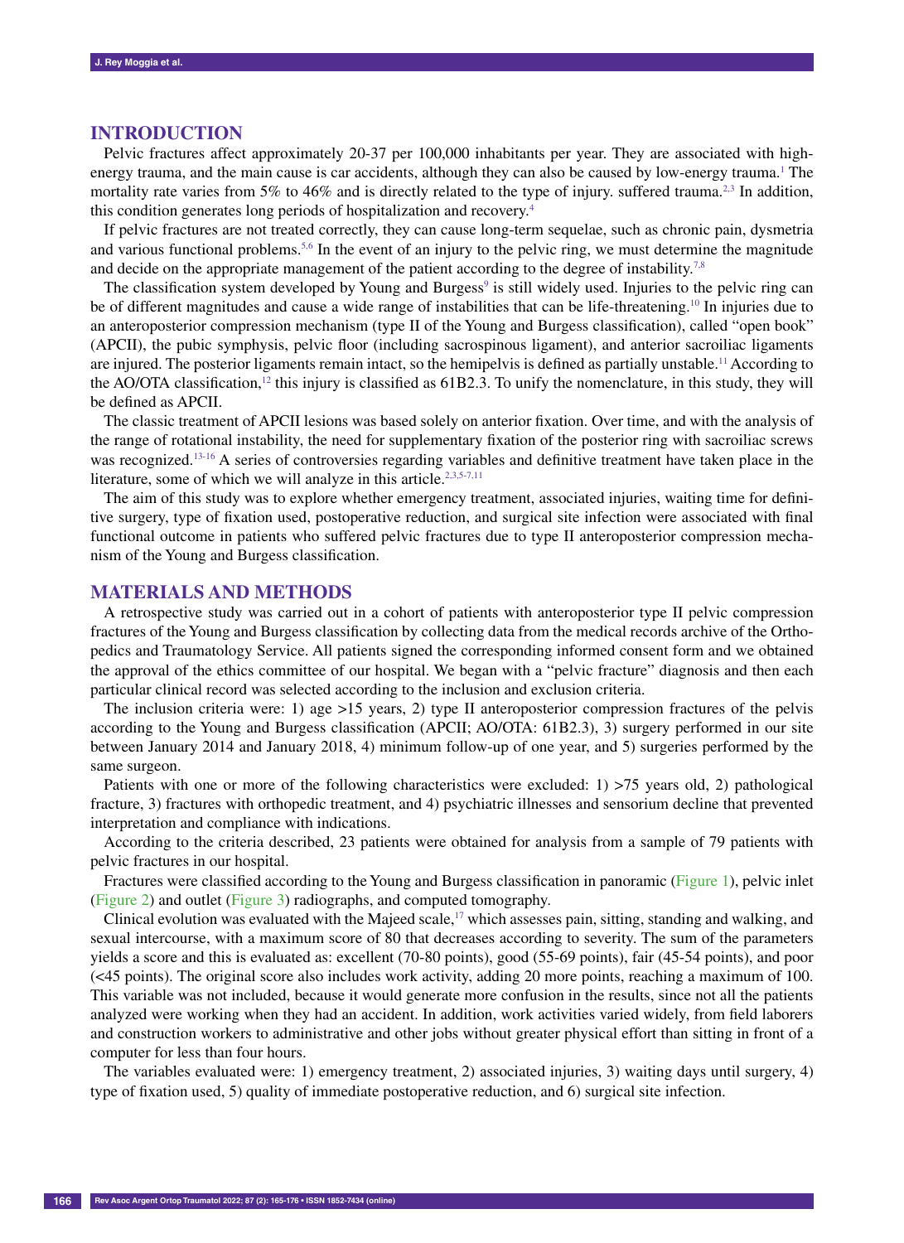#### **INTRODUCTION**

Pelvic fractures affect approximately 20-37 per 100,000 inhabitants per year. They are associated with highenergy trauma, and the main cause is car accidents, although they can also be caused by low-energy trauma.<sup>1</sup> The mortality rate varies from 5% to 46% and is directly related to the type of injury. suffered trauma.<sup>2,3</sup> In addition, this condition generates long periods of hospitalization and recovery.4

If pelvic fractures are not treated correctly, they can cause long-term sequelae, such as chronic pain, dysmetria and various functional problems.<sup>5,6</sup> In the event of an injury to the pelvic ring, we must determine the magnitude and decide on the appropriate management of the patient according to the degree of instability.<sup>7,8</sup>

The classification system developed by Young and Burgess $\degree$  is still widely used. Injuries to the pelvic ring can be of different magnitudes and cause a wide range of instabilities that can be life-threatening.<sup>10</sup> In injuries due to an anteroposterior compression mechanism (type II of the Young and Burgess classification), called "open book" (APCII), the pubic symphysis, pelvic floor (including sacrospinous ligament), and anterior sacroiliac ligaments are injured. The posterior ligaments remain intact, so the hemipelvis is defined as partially unstable.<sup>11</sup> According to the AO/OTA classification,<sup>12</sup> this injury is classified as 61B2.3. To unify the nomenclature, in this study, they will be defined as APCII.

The classic treatment of APCII lesions was based solely on anterior fixation. Over time, and with the analysis of the range of rotational instability, the need for supplementary fixation of the posterior ring with sacroiliac screws was recognized.13-16 A series of controversies regarding variables and definitive treatment have taken place in the literature, some of which we will analyze in this article.<sup>2,3,5-7,11</sup>

The aim of this study was to explore whether emergency treatment, associated injuries, waiting time for definitive surgery, type of fixation used, postoperative reduction, and surgical site infection were associated with final functional outcome in patients who suffered pelvic fractures due to type II anteroposterior compression mechanism of the Young and Burgess classification.

## **MATERIALS AND METHODS**

A retrospective study was carried out in a cohort of patients with anteroposterior type II pelvic compression fractures of the Young and Burgess classification by collecting data from the medical records archive of the Orthopedics and Traumatology Service. All patients signed the corresponding informed consent form and we obtained the approval of the ethics committee of our hospital. We began with a "pelvic fracture" diagnosis and then each particular clinical record was selected according to the inclusion and exclusion criteria.

The inclusion criteria were: 1) age >15 years, 2) type II anteroposterior compression fractures of the pelvis according to the Young and Burgess classification (APCII; AO/OTA: 61B2.3), 3) surgery performed in our site between January 2014 and January 2018, 4) minimum follow-up of one year, and 5) surgeries performed by the same surgeon.

Patients with one or more of the following characteristics were excluded: 1) >75 years old, 2) pathological fracture, 3) fractures with orthopedic treatment, and 4) psychiatric illnesses and sensorium decline that prevented interpretation and compliance with indications.

According to the criteria described, 23 patients were obtained for analysis from a sample of 79 patients with pelvic fractures in our hospital.

Fractures were classified according to the Young and Burgess classification in panoramic (Figure 1), pelvic inlet (Figure 2) and outlet (Figure 3) radiographs, and computed tomography.

Clinical evolution was evaluated with the Majeed scale,<sup>17</sup> which assesses pain, sitting, standing and walking, and sexual intercourse, with a maximum score of 80 that decreases according to severity. The sum of the parameters yields a score and this is evaluated as: excellent (70-80 points), good (55-69 points), fair (45-54 points), and poor (<45 points). The original score also includes work activity, adding 20 more points, reaching a maximum of 100. This variable was not included, because it would generate more confusion in the results, since not all the patients analyzed were working when they had an accident. In addition, work activities varied widely, from field laborers and construction workers to administrative and other jobs without greater physical effort than sitting in front of a computer for less than four hours.

The variables evaluated were: 1) emergency treatment, 2) associated injuries, 3) waiting days until surgery, 4) type of fixation used, 5) quality of immediate postoperative reduction, and 6) surgical site infection.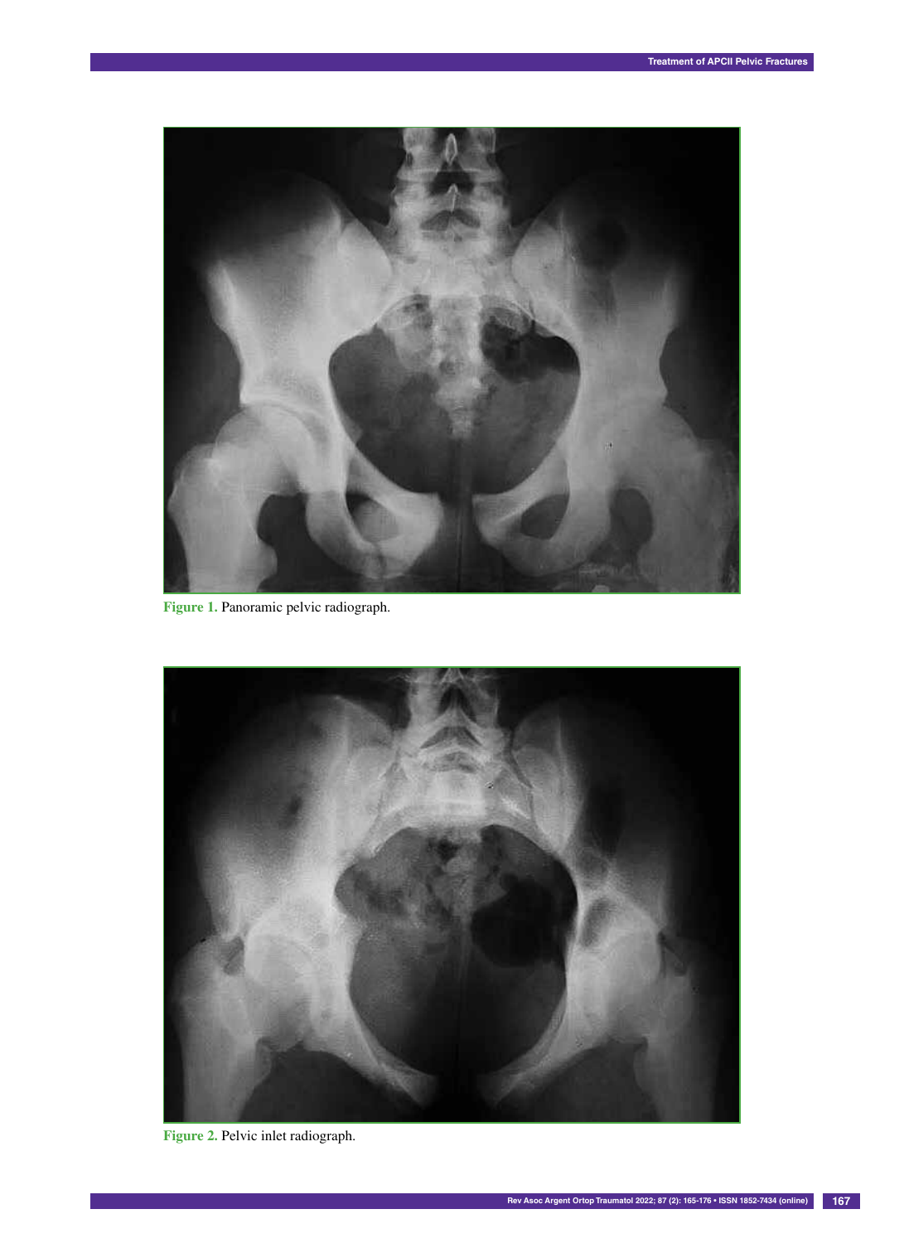

**Figure 1.** Panoramic pelvic radiograph.



**Figure 2.** Pelvic inlet radiograph.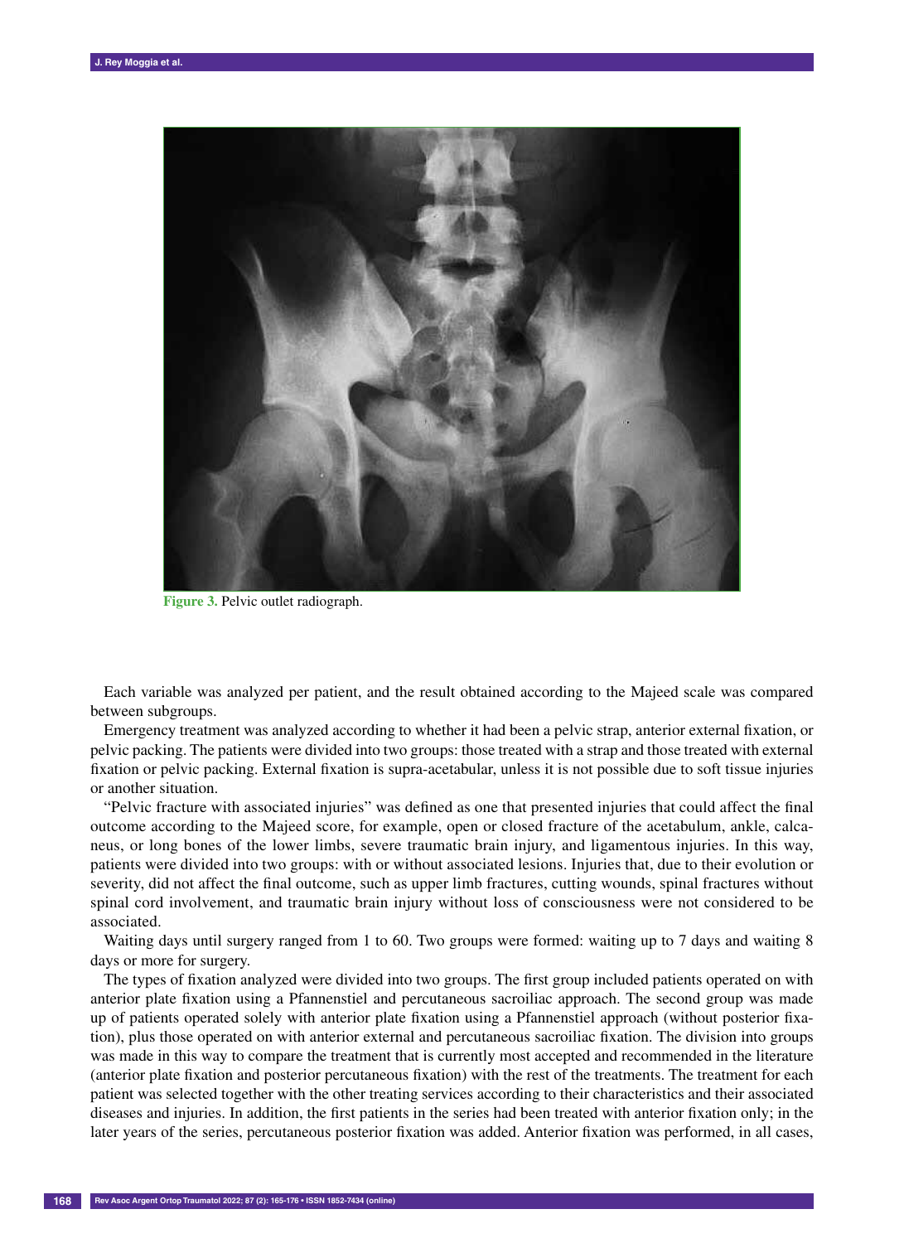

**Figure 3.** Pelvic outlet radiograph.

Each variable was analyzed per patient, and the result obtained according to the Majeed scale was compared between subgroups.

Emergency treatment was analyzed according to whether it had been a pelvic strap, anterior external fixation, or pelvic packing. The patients were divided into two groups: those treated with a strap and those treated with external fixation or pelvic packing. External fixation is supra-acetabular, unless it is not possible due to soft tissue injuries or another situation.

"Pelvic fracture with associated injuries" was defined as one that presented injuries that could affect the final outcome according to the Majeed score, for example, open or closed fracture of the acetabulum, ankle, calcaneus, or long bones of the lower limbs, severe traumatic brain injury, and ligamentous injuries. In this way, patients were divided into two groups: with or without associated lesions. Injuries that, due to their evolution or severity, did not affect the final outcome, such as upper limb fractures, cutting wounds, spinal fractures without spinal cord involvement, and traumatic brain injury without loss of consciousness were not considered to be associated.

Waiting days until surgery ranged from 1 to 60. Two groups were formed: waiting up to 7 days and waiting 8 days or more for surgery.

The types of fixation analyzed were divided into two groups. The first group included patients operated on with anterior plate fixation using a Pfannenstiel and percutaneous sacroiliac approach. The second group was made up of patients operated solely with anterior plate fixation using a Pfannenstiel approach (without posterior fixation), plus those operated on with anterior external and percutaneous sacroiliac fixation. The division into groups was made in this way to compare the treatment that is currently most accepted and recommended in the literature (anterior plate fixation and posterior percutaneous fixation) with the rest of the treatments. The treatment for each patient was selected together with the other treating services according to their characteristics and their associated diseases and injuries. In addition, the first patients in the series had been treated with anterior fixation only; in the later years of the series, percutaneous posterior fixation was added. Anterior fixation was performed, in all cases,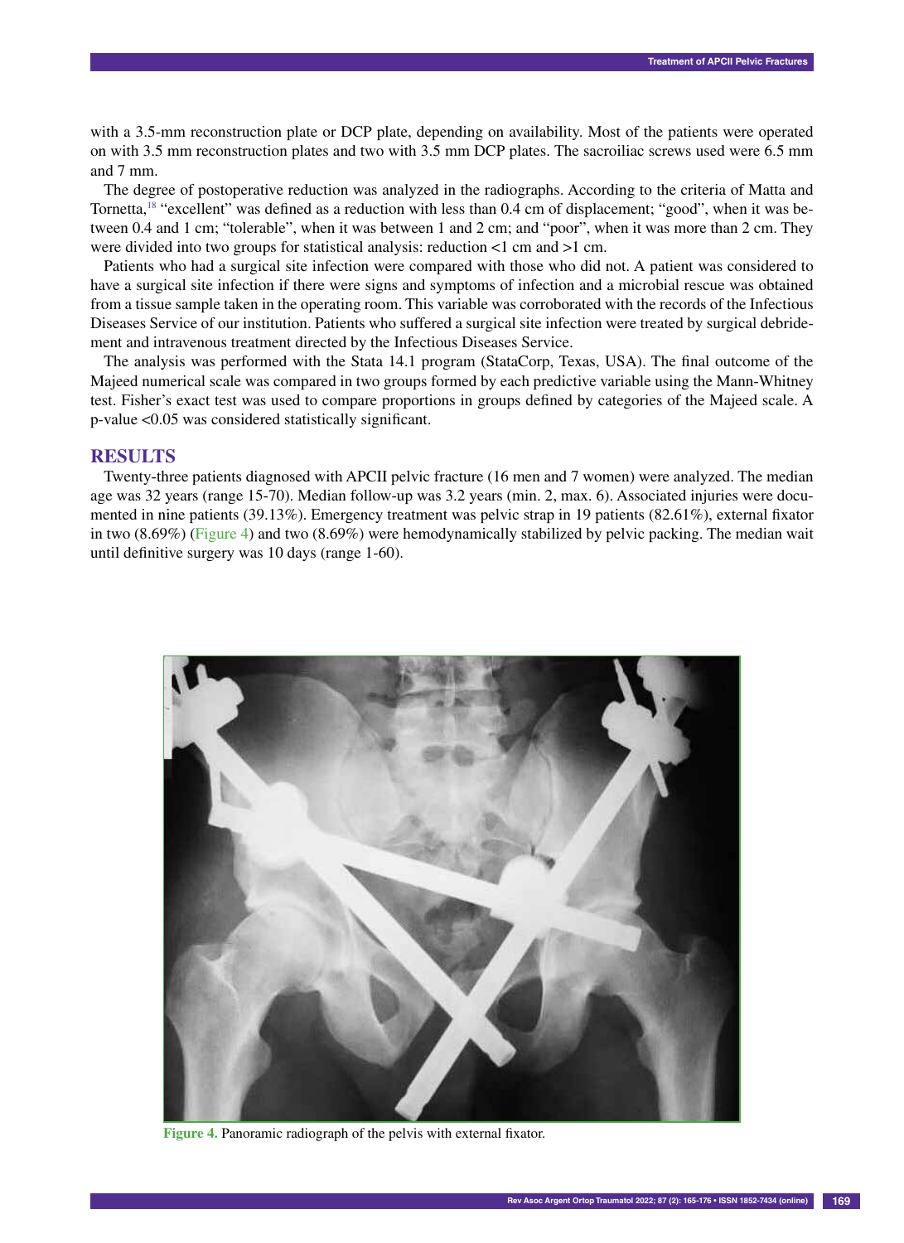with a 3.5-mm reconstruction plate or DCP plate, depending on availability. Most of the patients were operated on with 3.5 mm reconstruction plates and two with 3.5 mm DCP plates. The sacroiliac screws used were 6.5 mm and 7 mm.

The degree of postoperative reduction was analyzed in the radiographs. According to the criteria of Matta and Tornetta,<sup>18</sup> "excellent" was defined as a reduction with less than 0.4 cm of displacement; "good", when it was between 0.4 and 1 cm; "tolerable", when it was between 1 and 2 cm; and "poor", when it was more than 2 cm. They were divided into two groups for statistical analysis: reduction <1 cm and >1 cm.

Patients who had a surgical site infection were compared with those who did not. A patient was considered to have a surgical site infection if there were signs and symptoms of infection and a microbial rescue was obtained from a tissue sample taken in the operating room. This variable was corroborated with the records of the Infectious Diseases Service of our institution. Patients who suffered a surgical site infection were treated by surgical debridement and intravenous treatment directed by the Infectious Diseases Service.

The analysis was performed with the Stata 14.1 program (StataCorp, Texas, USA). The final outcome of the Majeed numerical scale was compared in two groups formed by each predictive variable using the Mann-Whitney test. Fisher's exact test was used to compare proportions in groups defined by categories of the Majeed scale. A p-value <0.05 was considered statistically significant.

### **RESULTS**

Twenty-three patients diagnosed with APCII pelvic fracture (16 men and 7 women) were analyzed. The median age was 32 years (range 15-70). Median follow-up was 3.2 years (min. 2, max. 6). Associated injuries were documented in nine patients (39.13%). Emergency treatment was pelvic strap in 19 patients (82.61%), external fixator in two (8.69%) (Figure 4) and two (8.69%) were hemodynamically stabilized by pelvic packing. The median wait until definitive surgery was 10 days (range 1-60).



**Figure 4.** Panoramic radiograph of the pelvis with external fixator.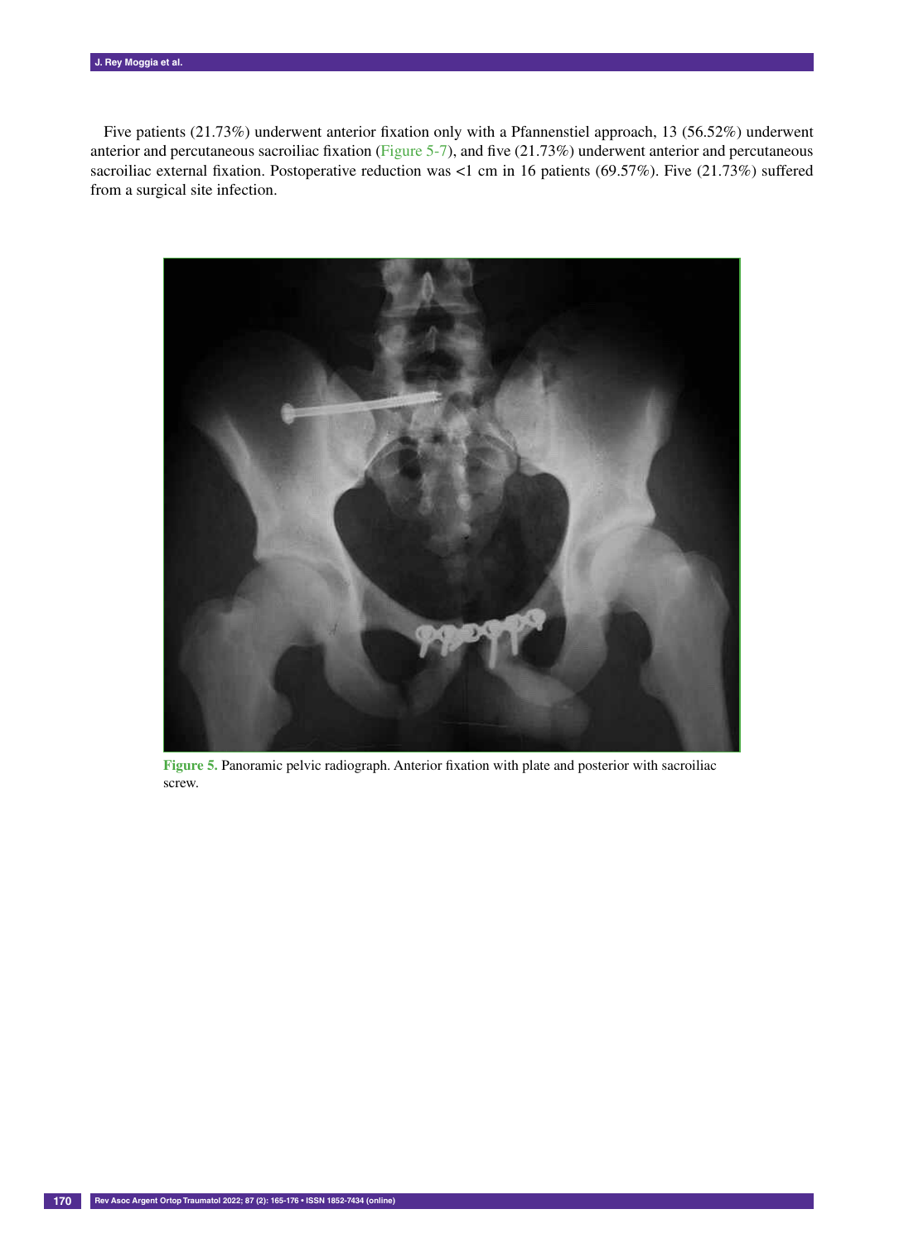Five patients (21.73%) underwent anterior fixation only with a Pfannenstiel approach, 13 (56.52%) underwent anterior and percutaneous sacroiliac fixation (Figure 5-7), and five  $(21.73%)$  underwent anterior and percutaneous sacroiliac external fixation. Postoperative reduction was <1 cm in 16 patients (69.57%). Five (21.73%) suffered from a surgical site infection.



**Figure 5.** Panoramic pelvic radiograph. Anterior fixation with plate and posterior with sacroiliac screw.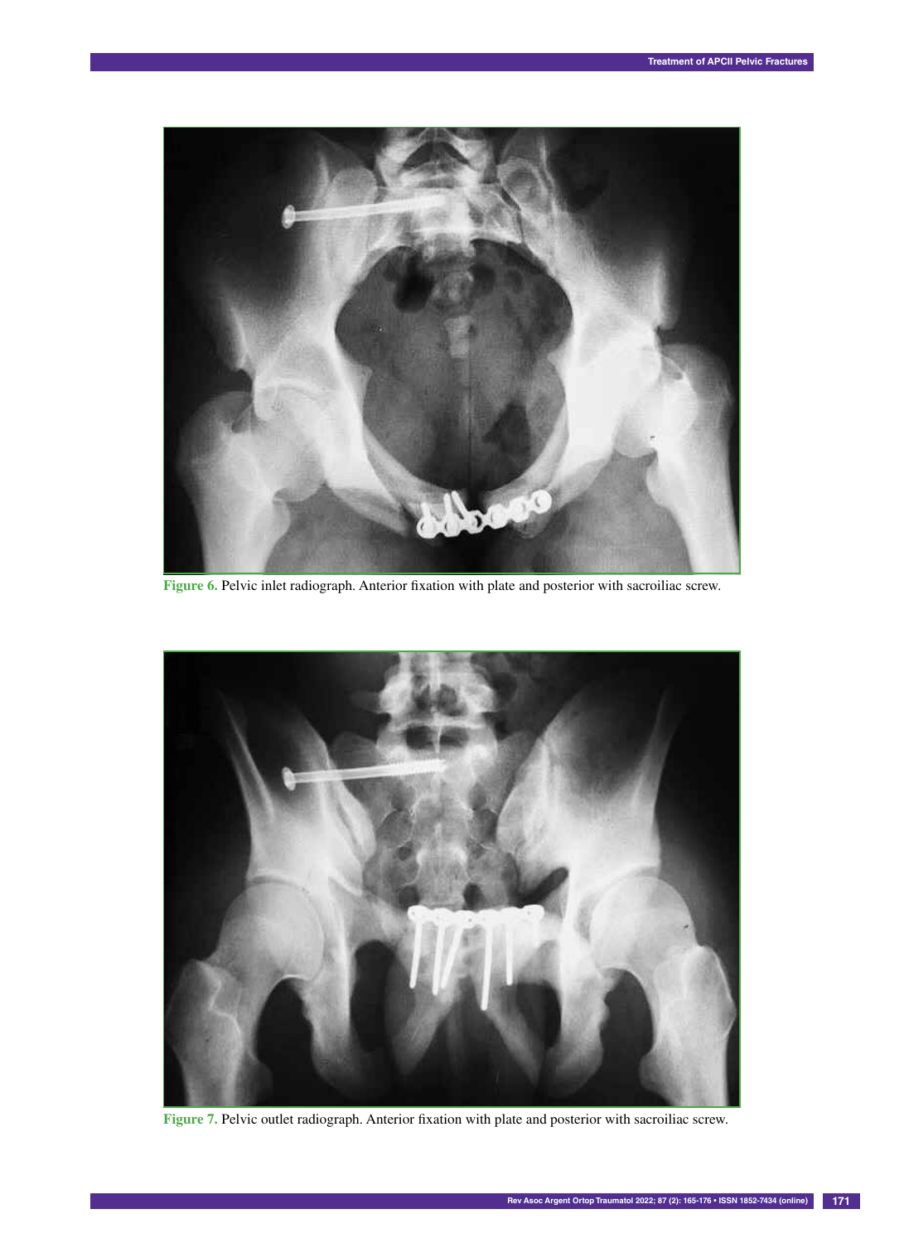

**Figure 6.** Pelvic inlet radiograph. Anterior fixation with plate and posterior with sacroiliac screw.



**Figure 7.** Pelvic outlet radiograph. Anterior fixation with plate and posterior with sacroiliac screw.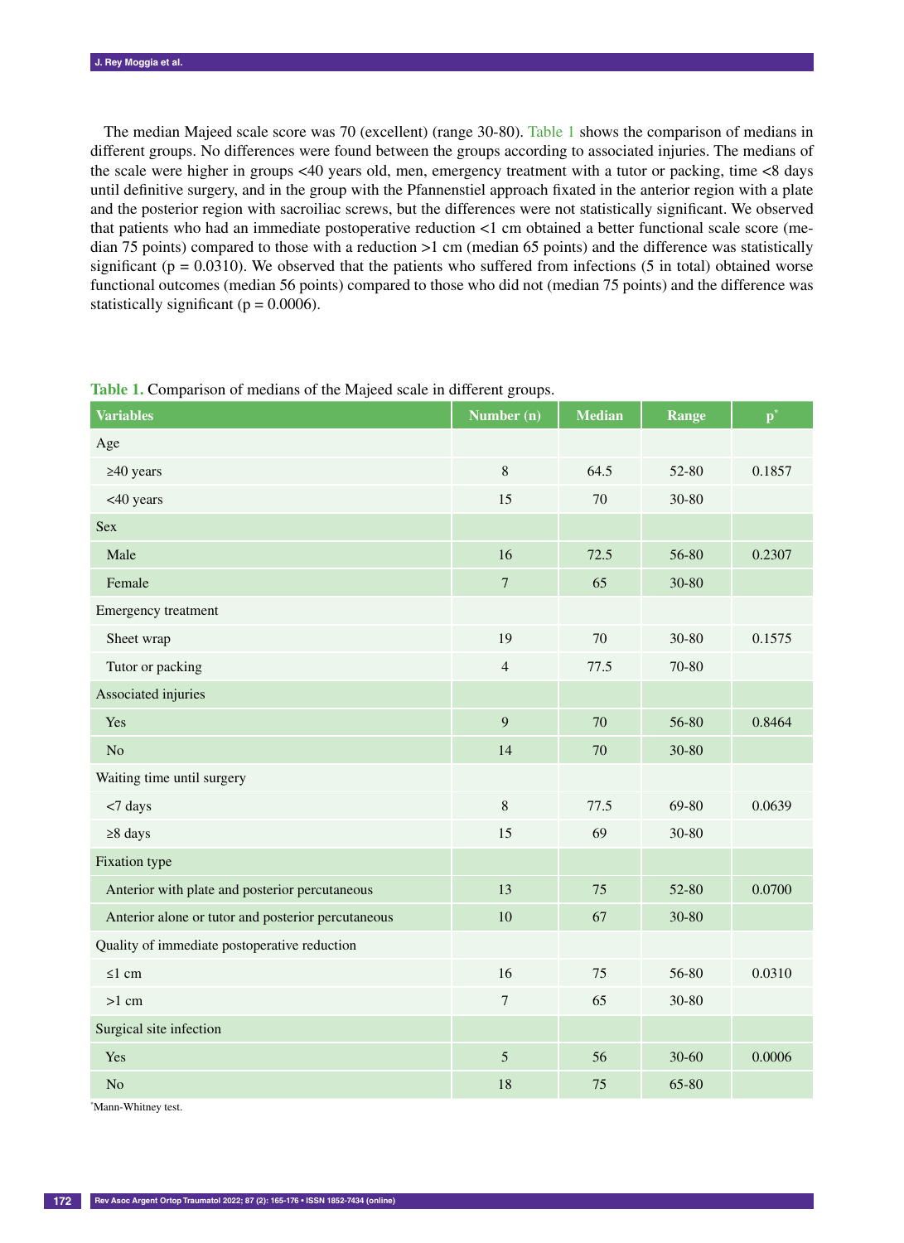The median Majeed scale score was 70 (excellent) (range 30-80). Table 1 shows the comparison of medians in different groups. No differences were found between the groups according to associated injuries. The medians of the scale were higher in groups <40 years old, men, emergency treatment with a tutor or packing, time <8 days until definitive surgery, and in the group with the Pfannenstiel approach fixated in the anterior region with a plate and the posterior region with sacroiliac screws, but the differences were not statistically significant. We observed that patients who had an immediate postoperative reduction <1 cm obtained a better functional scale score (median 75 points) compared to those with a reduction >1 cm (median 65 points) and the difference was statistically significant ( $p = 0.0310$ ). We observed that the patients who suffered from infections (5 in total) obtained worse functional outcomes (median 56 points) compared to those who did not (median 75 points) and the difference was statistically significant ( $p = 0.0006$ ).

| <b>Variables</b>                                   | Number (n)       | <b>Median</b> | <b>Range</b> | $\mathbf{p}^*$ |
|----------------------------------------------------|------------------|---------------|--------------|----------------|
| Age                                                |                  |               |              |                |
| $\geq 40$ years                                    | $8\,$            | 64.5          | 52-80        | 0.1857         |
| <40 years                                          | 15               | 70            | 30-80        |                |
| <b>Sex</b>                                         |                  |               |              |                |
| Male                                               | 16               | 72.5          | 56-80        | 0.2307         |
| Female                                             | $\overline{7}$   | 65            | 30-80        |                |
| Emergency treatment                                |                  |               |              |                |
| Sheet wrap                                         | 19               | 70            | 30-80        | 0.1575         |
| Tutor or packing                                   | $\overline{4}$   | 77.5          | 70-80        |                |
| Associated injuries                                |                  |               |              |                |
| Yes                                                | 9                | 70            | 56-80        | 0.8464         |
| No                                                 | 14               | 70            | 30-80        |                |
| Waiting time until surgery                         |                  |               |              |                |
| <7 days                                            | $8\,$            | 77.5          | 69-80        | 0.0639         |
| $\geq 8$ days                                      | 15               | 69            | 30-80        |                |
| Fixation type                                      |                  |               |              |                |
| Anterior with plate and posterior percutaneous     | 13               | 75            | 52-80        | 0.0700         |
| Anterior alone or tutor and posterior percutaneous | 10               | 67            | 30-80        |                |
| Quality of immediate postoperative reduction       |                  |               |              |                |
| $\leq 1$ cm                                        | 16               | 75            | 56-80        | 0.0310         |
| $>1$ cm                                            | $\boldsymbol{7}$ | 65            | 30-80        |                |
| Surgical site infection                            |                  |               |              |                |
| Yes                                                | 5                | 56            | 30-60        | 0.0006         |
| No                                                 | 18               | 75            | 65-80        |                |

**Table 1.** Comparison of medians of the Majeed scale in different groups.

\* Mann-Whitney test.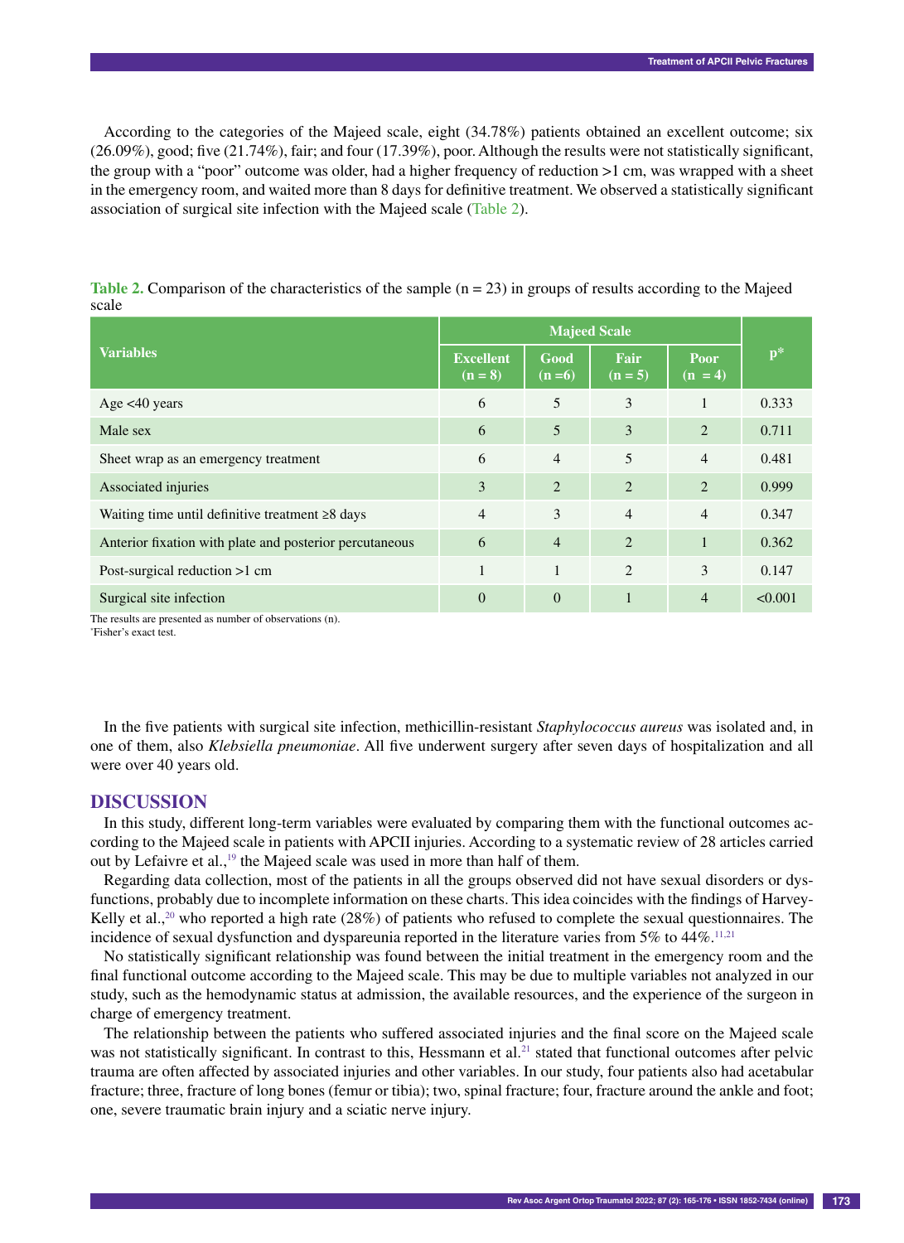According to the categories of the Majeed scale, eight (34.78%) patients obtained an excellent outcome; six (26.09%), good; five (21.74%), fair; and four (17.39%), poor. Although the results were not statistically significant, the group with a "poor" outcome was older, had a higher frequency of reduction >1 cm, was wrapped with a sheet in the emergency room, and waited more than 8 days for definitive treatment. We observed a statistically significant association of surgical site infection with the Majeed scale (Table 2).

| <b>Variables</b>                                        | <b>Majeed Scale</b>           |                 |                   |                   |         |
|---------------------------------------------------------|-------------------------------|-----------------|-------------------|-------------------|---------|
|                                                         | <b>Excellent</b><br>$(n = 8)$ | Good<br>$(n=6)$ | Fair<br>$(n = 5)$ | Poor<br>$(n = 4)$ | $p*$    |
| Age $<40$ years                                         | 6                             | 5               | 3                 |                   | 0.333   |
| Male sex                                                | 6                             | 5               | 3                 | $\overline{2}$    | 0.711   |
| Sheet wrap as an emergency treatment                    | 6                             | $\overline{4}$  | 5                 | $\overline{4}$    | 0.481   |
| Associated injuries                                     | 3                             | $\overline{2}$  | 2                 | $\overline{2}$    | 0.999   |
| Waiting time until definitive treatment $\geq 8$ days   | $\overline{4}$                | 3               | $\overline{4}$    | $\overline{4}$    | 0.347   |
| Anterior fixation with plate and posterior percutaneous | 6                             | $\overline{4}$  | 2                 | 1                 | 0.362   |
| Post-surgical reduction >1 cm                           | 1                             | 1               | 2                 | 3                 | 0.147   |
| Surgical site infection                                 | $\mathbf{0}$                  | $\theta$        | $\mathbf{1}$      | $\overline{4}$    | < 0.001 |

**Table 2.** Comparison of the characteristics of the sample (n = 23) in groups of results according to the Majeed scale

The results are presented as number of observations (n).

\* Fisher's exact test.

In the five patients with surgical site infection, methicillin-resistant *Staphylococcus aureus* was isolated and, in one of them, also *Klebsiella pneumoniae*. All five underwent surgery after seven days of hospitalization and all were over 40 years old.

#### **DISCUSSION**

In this study, different long-term variables were evaluated by comparing them with the functional outcomes according to the Majeed scale in patients with APCII injuries. According to a systematic review of 28 articles carried out by Lefaivre et al.,<sup>19</sup> the Majeed scale was used in more than half of them.

Regarding data collection, most of the patients in all the groups observed did not have sexual disorders or dysfunctions, probably due to incomplete information on these charts. This idea coincides with the findings of Harvey-Kelly et al.,<sup>20</sup> who reported a high rate (28%) of patients who refused to complete the sexual questionnaires. The incidence of sexual dysfunction and dyspareunia reported in the literature varies from  $5\%$  to  $44\%$ .<sup>11,21</sup>

No statistically significant relationship was found between the initial treatment in the emergency room and the final functional outcome according to the Majeed scale. This may be due to multiple variables not analyzed in our study, such as the hemodynamic status at admission, the available resources, and the experience of the surgeon in charge of emergency treatment.

The relationship between the patients who suffered associated injuries and the final score on the Majeed scale was not statistically significant. In contrast to this, Hessmann et al.<sup>21</sup> stated that functional outcomes after pelvic trauma are often affected by associated injuries and other variables. In our study, four patients also had acetabular fracture; three, fracture of long bones (femur or tibia); two, spinal fracture; four, fracture around the ankle and foot; one, severe traumatic brain injury and a sciatic nerve injury.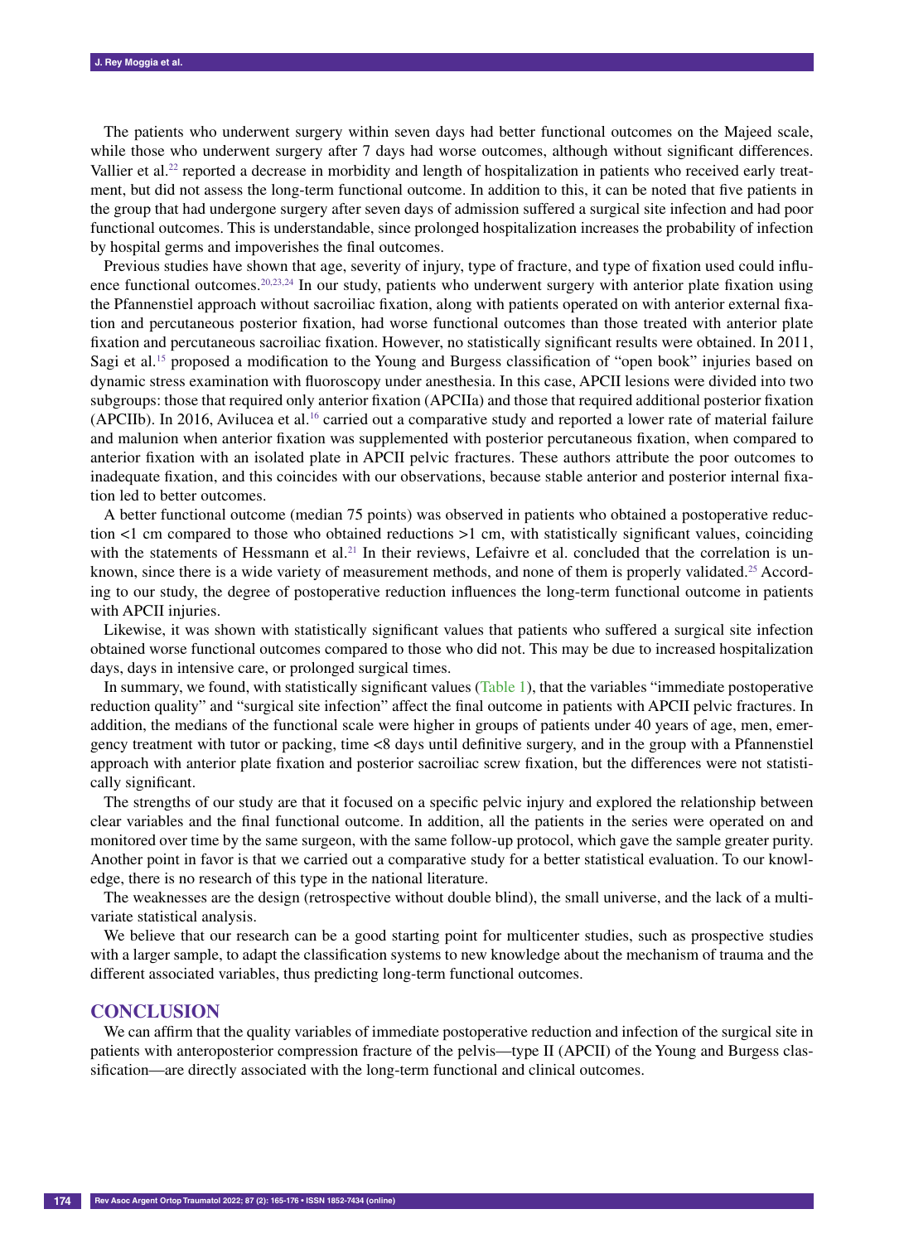The patients who underwent surgery within seven days had better functional outcomes on the Majeed scale, while those who underwent surgery after 7 days had worse outcomes, although without significant differences. Vallier et al.<sup>22</sup> reported a decrease in morbidity and length of hospitalization in patients who received early treatment, but did not assess the long-term functional outcome. In addition to this, it can be noted that five patients in the group that had undergone surgery after seven days of admission suffered a surgical site infection and had poor functional outcomes. This is understandable, since prolonged hospitalization increases the probability of infection by hospital germs and impoverishes the final outcomes.

Previous studies have shown that age, severity of injury, type of fracture, and type of fixation used could influence functional outcomes.<sup>20,23,24</sup> In our study, patients who underwent surgery with anterior plate fixation using the Pfannenstiel approach without sacroiliac fixation, along with patients operated on with anterior external fixation and percutaneous posterior fixation, had worse functional outcomes than those treated with anterior plate fixation and percutaneous sacroiliac fixation. However, no statistically significant results were obtained. In 2011, Sagi et al.15 proposed a modification to the Young and Burgess classification of "open book" injuries based on dynamic stress examination with fluoroscopy under anesthesia. In this case, APCII lesions were divided into two subgroups: those that required only anterior fixation (APCIIa) and those that required additional posterior fixation (APCIIb). In 2016, Avilucea et al.16 carried out a comparative study and reported a lower rate of material failure and malunion when anterior fixation was supplemented with posterior percutaneous fixation, when compared to anterior fixation with an isolated plate in APCII pelvic fractures. These authors attribute the poor outcomes to inadequate fixation, and this coincides with our observations, because stable anterior and posterior internal fixation led to better outcomes.

A better functional outcome (median 75 points) was observed in patients who obtained a postoperative reduction <1 cm compared to those who obtained reductions >1 cm, with statistically significant values, coinciding with the statements of Hessmann et al.<sup>21</sup> In their reviews, Lefaivre et al. concluded that the correlation is unknown, since there is a wide variety of measurement methods, and none of them is properly validated.25 According to our study, the degree of postoperative reduction influences the long-term functional outcome in patients with APCII injuries.

Likewise, it was shown with statistically significant values that patients who suffered a surgical site infection obtained worse functional outcomes compared to those who did not. This may be due to increased hospitalization days, days in intensive care, or prolonged surgical times.

In summary, we found, with statistically significant values (Table 1), that the variables "immediate postoperative reduction quality" and "surgical site infection" affect the final outcome in patients with APCII pelvic fractures. In addition, the medians of the functional scale were higher in groups of patients under 40 years of age, men, emergency treatment with tutor or packing, time <8 days until definitive surgery, and in the group with a Pfannenstiel approach with anterior plate fixation and posterior sacroiliac screw fixation, but the differences were not statistically significant.

The strengths of our study are that it focused on a specific pelvic injury and explored the relationship between clear variables and the final functional outcome. In addition, all the patients in the series were operated on and monitored over time by the same surgeon, with the same follow-up protocol, which gave the sample greater purity. Another point in favor is that we carried out a comparative study for a better statistical evaluation. To our knowledge, there is no research of this type in the national literature.

The weaknesses are the design (retrospective without double blind), the small universe, and the lack of a multivariate statistical analysis.

We believe that our research can be a good starting point for multicenter studies, such as prospective studies with a larger sample, to adapt the classification systems to new knowledge about the mechanism of trauma and the different associated variables, thus predicting long-term functional outcomes.

## **CONCLUSION**

We can affirm that the quality variables of immediate postoperative reduction and infection of the surgical site in patients with anteroposterior compression fracture of the pelvis—type II (APCII) of the Young and Burgess classification—are directly associated with the long-term functional and clinical outcomes.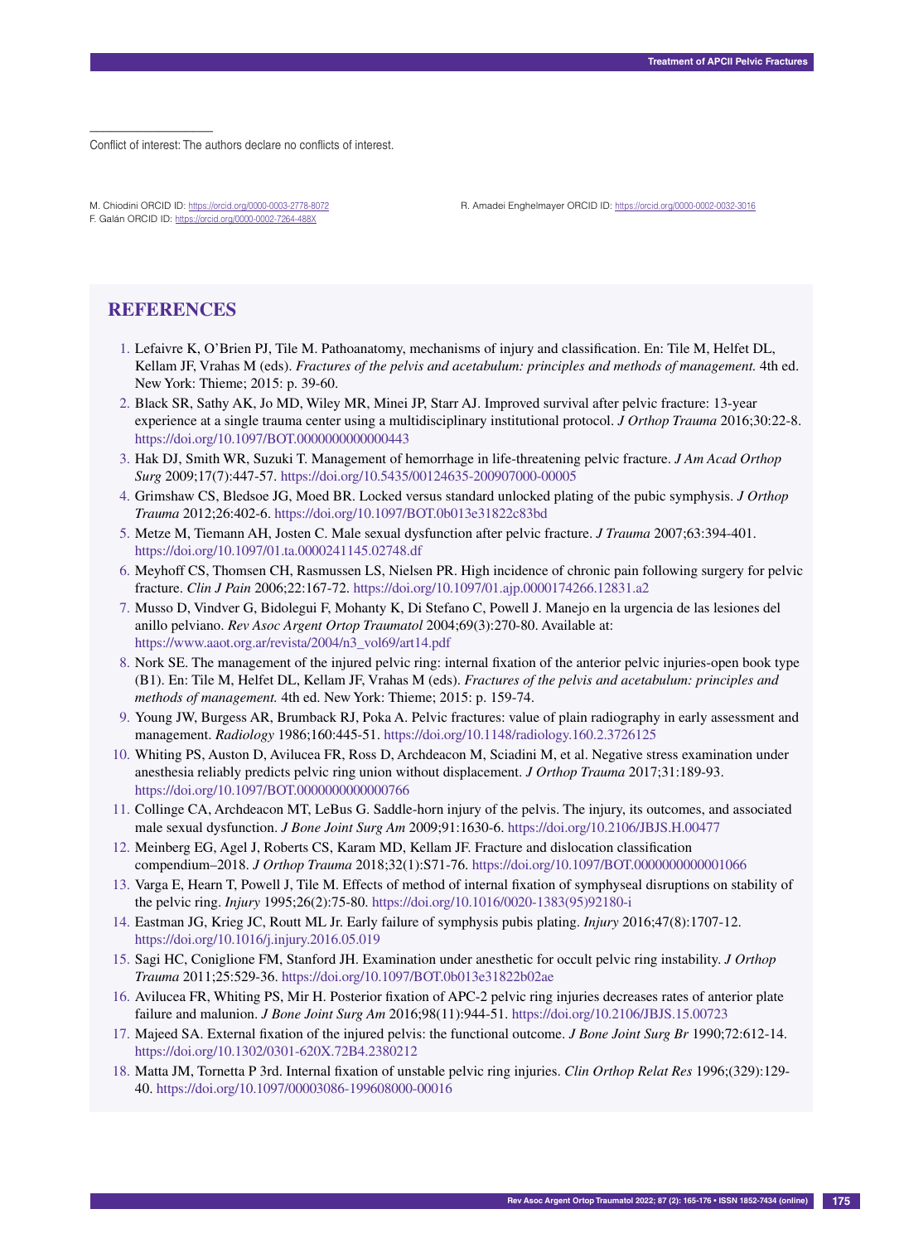–––––––––––––––––– Conflict of interest: The authors declare no conflicts of interest.

M. Chiodini ORCID ID: https://orcid.org/0000-0003-2778-8072 F. Galán ORCID ID: https://orcid.org/0000-0002-7264-488X

R. Amadei Enghelmayer ORCID ID: https://orcid.org/0000-0002-0032-3016

## **REFERENCES**

- 1. Lefaivre K, O'Brien PJ, Tile M. Pathoanatomy, mechanisms of injury and classification. En: Tile M, Helfet DL, Kellam JF, Vrahas M (eds). *Fractures of the pelvis and acetabulum: principles and methods of management.* 4th ed. New York: Thieme; 2015: p. 39-60.
- 2. Black SR, Sathy AK, Jo MD, Wiley MR, Minei JP, Starr AJ. Improved survival after pelvic fracture: 13-year experience at a single trauma center using a multidisciplinary institutional protocol. *J Orthop Trauma* 2016;30:22-8. https://doi.org/10.1097/BOT.0000000000000443
- 3. Hak DJ, Smith WR, Suzuki T. Management of hemorrhage in life-threatening pelvic fracture. *J Am Acad Orthop Surg* 2009;17(7):447-57. https://doi.org/10.5435/00124635-200907000-00005
- 4. Grimshaw CS, Bledsoe JG, Moed BR. Locked versus standard unlocked plating of the pubic symphysis. *J Orthop Trauma* 2012;26:402-6. https://doi.org/10.1097/BOT.0b013e31822c83bd
- 5. Metze M, Tiemann AH, Josten C. Male sexual dysfunction after pelvic fracture. *J Trauma* 2007;63:394-401. https://doi.org/10.1097/01.ta.0000241145.02748.df
- 6. Meyhoff CS, Thomsen CH, Rasmussen LS, Nielsen PR. High incidence of chronic pain following surgery for pelvic fracture. *Clin J Pain* 2006;22:167-72. https://doi.org/10.1097/01.ajp.0000174266.12831.a2
- 7. Musso D, Vindver G, Bidolegui F, Mohanty K, Di Stefano C, Powell J. Manejo en la urgencia de las lesiones del anillo pelviano. *Rev Asoc Argent Ortop Traumatol* 2004;69(3):270-80. Available at: https://www.aaot.org.ar/revista/2004/n3\_vol69/art14.pdf
- 8. Nork SE. The management of the injured pelvic ring: internal fixation of the anterior pelvic injuries-open book type (B1). En: Tile M, Helfet DL, Kellam JF, Vrahas M (eds). *Fractures of the pelvis and acetabulum: principles and methods of management.* 4th ed. New York: Thieme; 2015: p. 159-74.
- 9. Young JW, Burgess AR, Brumback RJ, Poka A. Pelvic fractures: value of plain radiography in early assessment and management. *Radiology* 1986;160:445-51. https://doi.org/10.1148/radiology.160.2.3726125
- 10. Whiting PS, Auston D, Avilucea FR, Ross D, Archdeacon M, Sciadini M, et al. Negative stress examination under anesthesia reliably predicts pelvic ring union without displacement. *J Orthop Trauma* 2017;31:189-93. https://doi.org/10.1097/BOT.0000000000000766
- 11. Collinge CA, Archdeacon MT, LeBus G. Saddle-horn injury of the pelvis. The injury, its outcomes, and associated male sexual dysfunction. *J Bone Joint Surg Am* 2009;91:1630-6. https://doi.org/10.2106/JBJS.H.00477
- 12. Meinberg EG, Agel J, Roberts CS, Karam MD, Kellam JF. Fracture and dislocation classification compendium–2018. *J Orthop Trauma* 2018;32(1):S71-76. https://doi.org/10.1097/BOT.0000000000001066
- 13. Varga E, Hearn T, Powell J, Tile M. Effects of method of internal fixation of symphyseal disruptions on stability of the pelvic ring. *Injury* 1995;26(2):75-80. https://doi.org/10.1016/0020-1383(95)92180-i
- 14. Eastman JG, Krieg JC, Routt ML Jr. Early failure of symphysis pubis plating. *Injury* 2016;47(8):1707-12. https://doi.org/10.1016/j.injury.2016.05.019
- 15. Sagi HC, Coniglione FM, Stanford JH. Examination under anesthetic for occult pelvic ring instability. *J Orthop Trauma* 2011;25:529-36. https://doi.org/10.1097/BOT.0b013e31822b02ae
- 16. Avilucea FR, Whiting PS, Mir H. Posterior fixation of APC-2 pelvic ring injuries decreases rates of anterior plate failure and malunion. *J Bone Joint Surg Am* 2016;98(11):944-51. https://doi.org/10.2106/JBJS.15.00723
- 17. Majeed SA. External fixation of the injured pelvis: the functional outcome. *J Bone Joint Surg Br* 1990;72:612-14. https://doi.org/10.1302/0301-620X.72B4.2380212
- 18. Matta JM, Tornetta P 3rd. Internal fixation of unstable pelvic ring injuries. *Clin Orthop Relat Res* 1996;(329):129- 40. https://doi.org/10.1097/00003086-199608000-00016